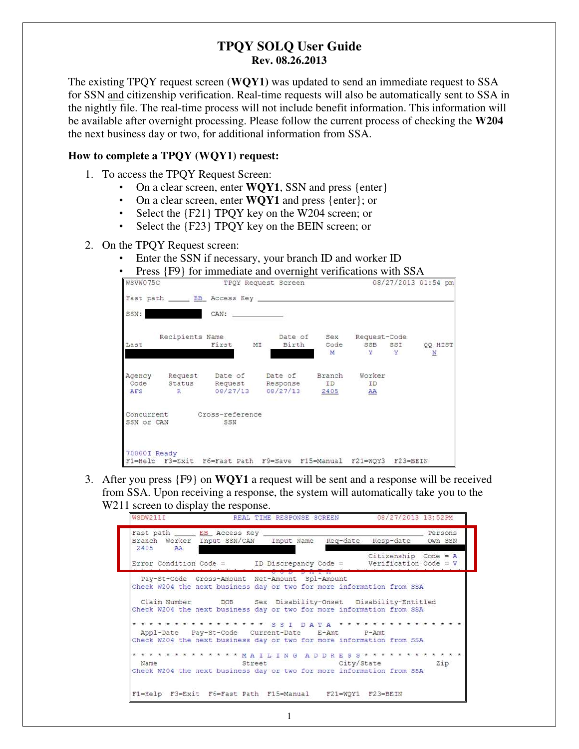### **TPQY SOLQ User Guide Rev. 08.26.2013**

The existing TPQY request screen (**WQY1)** was updated to send an immediate request to SSA for SSN and citizenship verification. Real-time requests will also be automatically sent to SSA in the nightly file. The real-time process will not include benefit information. This information will be available after overnight processing. Please follow the current process of checking the **W204** the next business day or two, for additional information from SSA.

### **How to complete a TPQY (WQY1) request:**

- 1. To access the TPQY Request Screen:
	- On a clear screen, enter **WQY1**, SSN and press {enter}
	- On a clear screen, enter **WQY1** and press {enter}; or
	- Select the {F21} TPQY key on the W204 screen; or
	- Select the {F23} TPQY key on the BEIN screen; or

#### 2. On the TPQY Request screen:

- Enter the SSN if necessary, your branch ID and worker ID
- Press {F9} for immediate and overnight verifications with SSA

| WSVW075C     |                |                                                                   | TPOY Request Screen |   |                           | 08/27/2013 01:54 pm    |
|--------------|----------------|-------------------------------------------------------------------|---------------------|---|---------------------------|------------------------|
|              |                | Fast path EB Access Key                                           |                     |   |                           |                        |
| SSN:         |                | CAN:                                                              |                     |   |                           |                        |
|              |                | Recipients Name                                                   |                     |   | Date of Sex Request-Code  |                        |
| Last         |                | First MI                                                          |                     | M | Birth Code SSB SSI<br>Y Y | QQ HIST<br>$\mathbb N$ |
|              |                | Agency Request Date of Date of Branch Worker                      |                     |   |                           |                        |
| AFS          | $R_{\rm{max}}$ | Code Status Request Response ID<br>08/27/13 08/27/13 2405         |                     |   | ID<br>AA                  |                        |
|              |                | Concurrent Cross-reference                                        |                     |   |                           |                        |
| SSN or CAN   |                | SSN                                                               |                     |   |                           |                        |
| 70000I Ready |                |                                                                   |                     |   |                           |                        |
|              |                | F1=Help F3=Exit F6=Fast Path F9=Save F15=Manual F21=WOY3 F23=BEIN |                     |   |                           |                        |

3. After you press {F9} on **WQY1** a request will be sent and a response will be received from SSA. Upon receiving a response, the system will automatically take you to the W<sub>211</sub> screen to display the response.

| Fast path ______ EB_ Access Key _____<br>Branch Worker Input SSN/CAN Input Name Reg-date Resp-date Own SSN<br>2405 AA     |                                                                       |  |  |  |  |  |  |                       |  |  |  |  | Persons                |  |
|---------------------------------------------------------------------------------------------------------------------------|-----------------------------------------------------------------------|--|--|--|--|--|--|-----------------------|--|--|--|--|------------------------|--|
| Error Condition Code = $ID$ Discrepancy Code = Verification Code = V                                                      |                                                                       |  |  |  |  |  |  |                       |  |  |  |  | Citizenship Code = $A$ |  |
| Pay-St-Code Gross-Amount Net-Amount Spl-Amount<br>Check W204 the next business day or two for more information from SSA   |                                                                       |  |  |  |  |  |  |                       |  |  |  |  |                        |  |
| Claim Number 500B Sex Disability-Onset Disability-Entitled                                                                |                                                                       |  |  |  |  |  |  |                       |  |  |  |  |                        |  |
| Check W204 the next business day or two for more information from SSA                                                     |                                                                       |  |  |  |  |  |  |                       |  |  |  |  |                        |  |
| * * * * * * * * * * * * * * * S S I D A T A * * * * * * * * * * * * * *<br>Appl-Date Pay-St-Code Current-Date E-Amt P-Amt |                                                                       |  |  |  |  |  |  |                       |  |  |  |  |                        |  |
| Check W204 the next business day or two for more information from SSA                                                     |                                                                       |  |  |  |  |  |  |                       |  |  |  |  |                        |  |
| * * * * * * * * * * * * * MAILING ADDRESS * * * * * * * * * * * *<br>Name                                                 |                                                                       |  |  |  |  |  |  | Street City/State Zip |  |  |  |  |                        |  |
|                                                                                                                           | Check W204 the next business day or two for more information from SSA |  |  |  |  |  |  |                       |  |  |  |  |                        |  |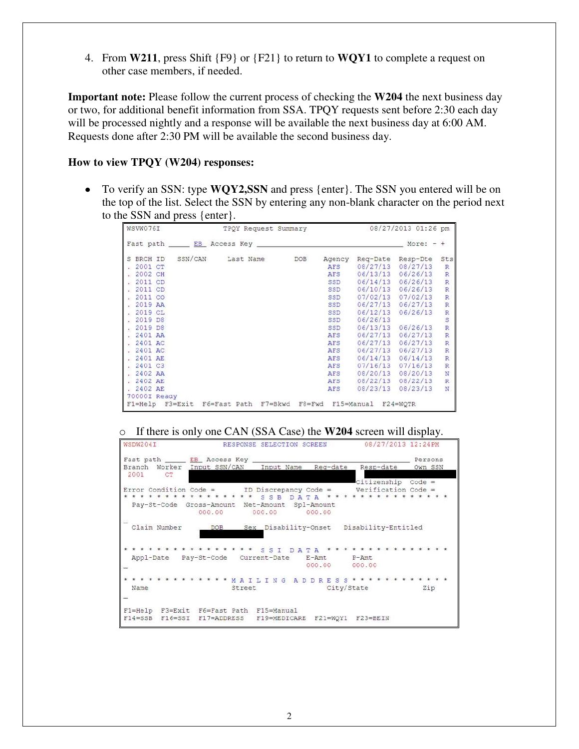4. From **W211**, press Shift {F9} or {F21} to return to **WQY1** to complete a request on other case members, if needed.

**Important note:** Please follow the current process of checking the **W204** the next business day or two, for additional benefit information from SSA. TPQY requests sent before 2:30 each day will be processed nightly and a response will be available the next business day at 6:00 AM. Requests done after 2:30 PM will be available the second business day.

#### **How to view TPQY (W204) responses:**

To verify an SSN: type **WQY2,SSN** and press {enter}. The SSN you entered will be on the top of the list. Select the SSN by entering any non-blank character on the period next to the SSN and press {enter}.

| WSVW076I        | TPQY Request Summary                                                                                                                                                                                                           |            |        |            | 08/27/2013 01:26 pm |                         |
|-----------------|--------------------------------------------------------------------------------------------------------------------------------------------------------------------------------------------------------------------------------|------------|--------|------------|---------------------|-------------------------|
|                 | Fast path EB Access Key and the contract of the EB Access Key and the contract of the EB Access Key and the contract of the Contract of the Contract of the Contract of the Contract of the Contract of the Contract of the Co |            |        |            | More:               | ÷                       |
| S BRCH ID       | SSN/CAN<br>Last Name                                                                                                                                                                                                           | <b>DOB</b> | Agency | Reg-Date   | Resp-Dte            | Sts                     |
| 2001 CT         |                                                                                                                                                                                                                                |            | AFS    | 08/27/13   | 08/27/13            | R                       |
| 2002 CH         |                                                                                                                                                                                                                                |            | AFS    | 06/13/13   | 06/26/13            | $\overline{R}$          |
| 2011 CD         |                                                                                                                                                                                                                                |            | SSD    | 06/14/13   | 06/26/13            | $\overline{R}$          |
| 2011 CD         |                                                                                                                                                                                                                                |            | SSD    | 06/10/13   | 06/26/13            | R                       |
| 2011 CO         |                                                                                                                                                                                                                                |            | SSD    | 07/02/13   | 07/02/13            | R                       |
| 2019 AA         |                                                                                                                                                                                                                                |            | SSD    | 06/27/13   | 06/27/13            | R                       |
| 2019 CL         |                                                                                                                                                                                                                                |            | SSD    | 06/12/13   | 06/26/13            | $\overline{R}$          |
| 2019 D8         |                                                                                                                                                                                                                                |            | SSD    | 06/26/13   |                     | s                       |
| 2019 D8         |                                                                                                                                                                                                                                |            | SSD    | 06/13/13   | 06/26/13            | $\overline{\mathbb{R}}$ |
| 2401 AA         |                                                                                                                                                                                                                                |            | AFS    | 06/27/13   | 06/27/13            | R                       |
| 2401 AC         |                                                                                                                                                                                                                                |            | AFS    | 06/27/13   | 06/27/13            | $\overline{R}$          |
| 2401 AC         |                                                                                                                                                                                                                                |            | AFS    | 06/27/13   | 06/27/13            | $\mathbb{R}$            |
| 2401 AE         |                                                                                                                                                                                                                                |            | AFS    | 06/14/13   | 06/14/13            | $\mathbb{R}$            |
| 2401 C3         |                                                                                                                                                                                                                                |            | AFS    | 07/16/13   | 07/16/13            | $\mathbb R$             |
| .2402AA         |                                                                                                                                                                                                                                |            | AFS    | 08/20/13   | 08/20/13            | N                       |
| 2402 AE         |                                                                                                                                                                                                                                |            | AFS    | 08/22/13   | 08/22/13            | R                       |
| . 2402 AE       |                                                                                                                                                                                                                                |            | AFS    | 08/23/13   | 08/23/13            | Ń                       |
| 70000I Ready    |                                                                                                                                                                                                                                |            |        |            |                     |                         |
| F1=Help F3=Exit | F6=Fast Path F7=Bkwd                                                                                                                                                                                                           | $F8 = Fwd$ |        | F15=Manual | $F24 = WQTR$        |                         |

#### o If there is only one CAN (SSA Case) the **W204** screen will display.

| WSDW204I     |                       |                                                          | RESPONSE SELECTION SCREEN              |                                  | 08/27/2013 12:24PM                                                                       |                    |
|--------------|-----------------------|----------------------------------------------------------|----------------------------------------|----------------------------------|------------------------------------------------------------------------------------------|--------------------|
| 2001 CT      |                       | Fast path EB Access Key<br>Branch Worker Input SSN/CAN   | Input Name                             | Reg-date                         | Resp-date                                                                                | Persons<br>Own SSN |
|              |                       | Pay-St-Code Gross-Amount Net-Amount Spl-Amount<br>000.00 | s<br>S <sub>B</sub><br>D A T<br>000.00 | $\Delta$<br>000.00               | Citizenship Code =<br>Error Condition Code = $ID$ Discrepancy Code = Verification Code = |                    |
| Claim Number |                       | DOB                                                      |                                        |                                  | Sex Disability-Onset Disability-Entitled                                                 |                    |
|              | Appl-Date Pay-St-Code |                                                          | SSI DA<br>Current-Date                 | <b>TA</b><br>$E - Amt$<br>000.00 | $P - Amt$<br>000.00                                                                      |                    |
| Name         |                       | * * * * * * * * * * MAILING ADDRESS<br>Street            |                                        | City/State                       |                                                                                          | Zip                |
| $F14 = SSB$  | $F16 = SST$           | F1=Help F3=Exit F6=Fast Path F15=Manual<br>F17=ADDRESS   | F19=MEDICARE                           | $F21 = WOY1$                     | $F23 = BEIN$                                                                             |                    |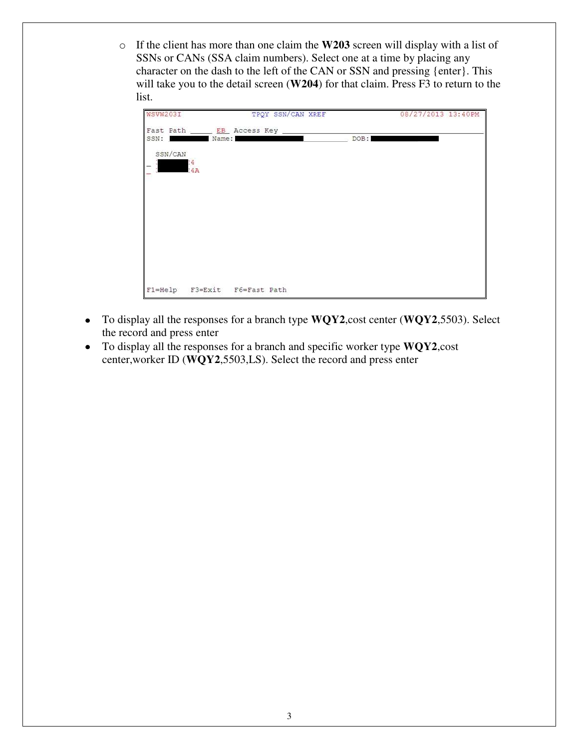o If the client has more than one claim the **W203** screen will display with a list of SSNs or CANs (SSA claim numbers). Select one at a time by placing any character on the dash to the left of the CAN or SSN and pressing {enter}. This will take you to the detail screen (**W204**) for that claim. Press F3 to return to the list.

| WSVW203I |           |                                        | TPQY SSN/CAN XREF |      | 08/27/2013 13:40PM |
|----------|-----------|----------------------------------------|-------------------|------|--------------------|
|          |           | Fast Path ______ EB_ Access Key ______ |                   |      |                    |
| SSN:     | Name:     |                                        |                   | DOB: |                    |
| SSN/CAN  |           |                                        |                   |      |                    |
|          | :4<br>:4A |                                        |                   |      |                    |
|          |           |                                        |                   |      |                    |
|          |           |                                        |                   |      |                    |
|          |           |                                        |                   |      |                    |
|          |           |                                        |                   |      |                    |
|          |           |                                        |                   |      |                    |
|          |           |                                        |                   |      |                    |
|          |           |                                        |                   |      |                    |
|          |           |                                        |                   |      |                    |
|          |           | F1=Help F3=Exit F6=Fast Path           |                   |      |                    |

- To display all the responses for a branch type **WQY2**,cost center (**WQY2**,5503). Select the record and press enter
- To display all the responses for a branch and specific worker type **WQY2**,cost center,worker ID (**WQY2**,5503,LS). Select the record and press enter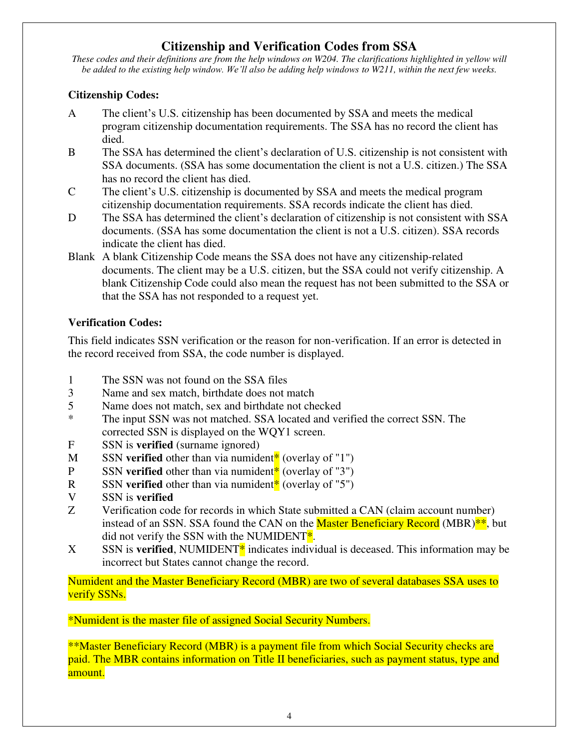# **Citizenship and Verification Codes from SSA**

*These codes and their definitions are from the help windows on W204. The clarifications highlighted in yellow will be added to the existing help window. We'll also be adding help windows to W211, within the next few weeks.* 

### **Citizenship Codes:**

- A The client's U.S. citizenship has been documented by SSA and meets the medical program citizenship documentation requirements. The SSA has no record the client has died.
- B The SSA has determined the client's declaration of U.S. citizenship is not consistent with SSA documents. (SSA has some documentation the client is not a U.S. citizen.) The SSA has no record the client has died.
- C The client's U.S. citizenship is documented by SSA and meets the medical program citizenship documentation requirements. SSA records indicate the client has died.
- D The SSA has determined the client's declaration of citizenship is not consistent with SSA documents. (SSA has some documentation the client is not a U.S. citizen). SSA records indicate the client has died.
- Blank A blank Citizenship Code means the SSA does not have any citizenship-related documents. The client may be a U.S. citizen, but the SSA could not verify citizenship. A blank Citizenship Code could also mean the request has not been submitted to the SSA or that the SSA has not responded to a request yet.

## **Verification Codes:**

This field indicates SSN verification or the reason for non-verification. If an error is detected in the record received from SSA, the code number is displayed.

- 1 The SSN was not found on the SSA files
- 3 Name and sex match, birthdate does not match
- 5 Name does not match, sex and birthdate not checked
- \* The input SSN was not matched. SSA located and verified the correct SSN. The corrected SSN is displayed on the WQY1 screen.
- F SSN is **verified** (surname ignored)
- M SSN **verified** other than via numident<sup>\*</sup> (overlay of "1")
- P SSN **verified** other than via numident<sup>\*</sup> (overlay of "3")
- R SSN **verified** other than via numident<sup>\*</sup> (overlay of "5")
- V SSN is **verified**
- Z Verification code for records in which State submitted a CAN (claim account number) instead of an SSN. SSA found the CAN on the **Master Beneficiary Record** (MBR)<sup>\*\*</sup>, but did not verify the SSN with the NUMIDENT $^*$ .
- $X$  SSN is **verified**, NUMIDENT<sup>\*</sup> indicates individual is deceased. This information may be incorrect but States cannot change the record.

Numident and the Master Beneficiary Record (MBR) are two of several databases SSA uses to verify SSNs.

\*Numident is the master file of assigned Social Security Numbers.

\*\*Master Beneficiary Record (MBR) is a payment file from which Social Security checks are paid. The MBR contains information on Title II beneficiaries, such as payment status, type and amount.